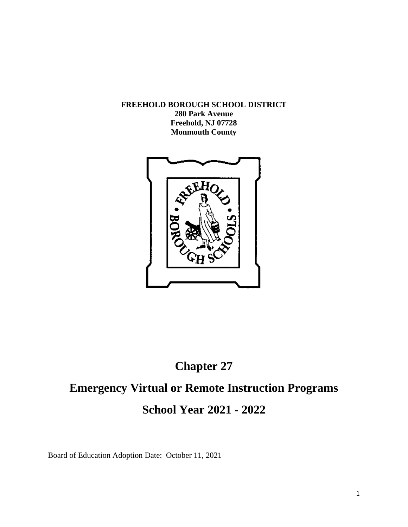**FREEHOLD BOROUGH SCHOOL DISTRICT**

**280 Park Avenue Freehold, NJ 07728 Monmouth County**



## **Chapter 27**

# **Emergency Virtual or Remote Instruction Programs School Year 2021 - 2022**

Board of Education Adoption Date: October 11, 2021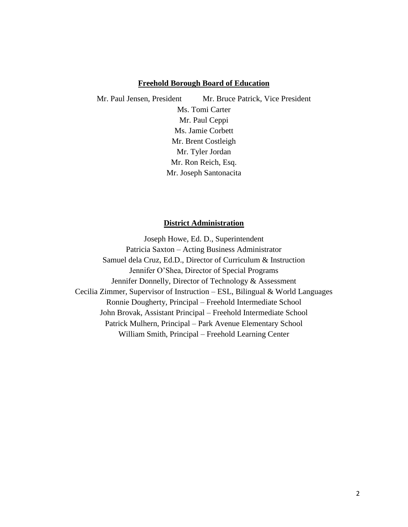#### **Freehold Borough Board of Education**

Mr. Paul Jensen, President Mr. Bruce Patrick, Vice President Ms. Tomi Carter Mr. Paul Ceppi Ms. Jamie Corbett Mr. Brent Costleigh Mr. Tyler Jordan Mr. Ron Reich, Esq. Mr. Joseph Santonacita

#### **District Administration**

Joseph Howe, Ed. D., Superintendent Patricia Saxton – Acting Business Administrator Samuel dela Cruz, Ed.D., Director of Curriculum & Instruction Jennifer O'Shea, Director of Special Programs Jennifer Donnelly, Director of Technology & Assessment Cecilia Zimmer, Supervisor of Instruction – ESL, Bilingual & World Languages Ronnie Dougherty, Principal – Freehold Intermediate School John Brovak, Assistant Principal – Freehold Intermediate School Patrick Mulhern, Principal – Park Avenue Elementary School William Smith, Principal – Freehold Learning Center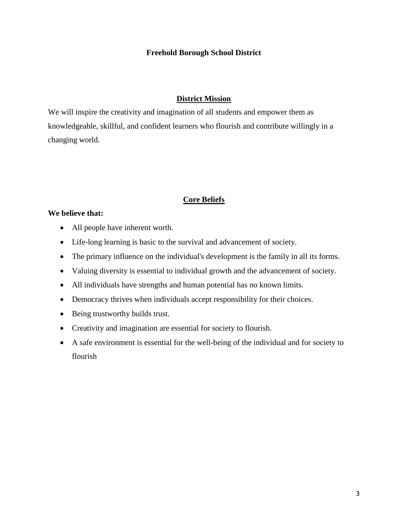## **Freehold Borough School District**

## **District Mission**

We will inspire the creativity and imagination of all students and empower them as knowledgeable, skillful, and confident learners who flourish and contribute willingly in a changing world.

## **Core Beliefs**

## **We believe that:**

- All people have inherent worth.
- Life-long learning is basic to the survival and advancement of society.
- The primary influence on the individual's development is the family in all its forms.
- Valuing diversity is essential to individual growth and the advancement of society.
- All individuals have strengths and human potential has no known limits.
- Democracy thrives when individuals accept responsibility for their choices.
- Being trustworthy builds trust.
- Creativity and imagination are essential for society to flourish.
- A safe environment is essential for the well-being of the individual and for society to flourish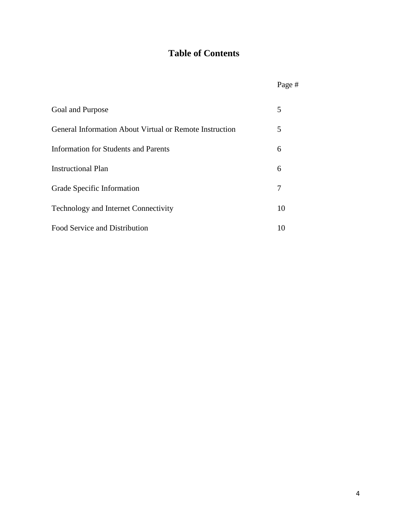## **Table of Contents**

|                                                                | Page # |
|----------------------------------------------------------------|--------|
| Goal and Purpose                                               | 5      |
| <b>General Information About Virtual or Remote Instruction</b> | 5      |
| Information for Students and Parents                           | 6      |
| <b>Instructional Plan</b>                                      | 6      |
| Grade Specific Information                                     | 7      |
| <b>Technology and Internet Connectivity</b>                    | 10     |
| Food Service and Distribution                                  | 10     |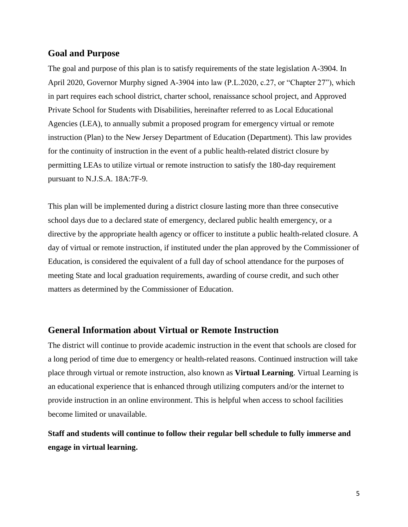## **Goal and Purpose**

The goal and purpose of this plan is to satisfy requirements of the state legislation A-3904. In April 2020, Governor Murphy signed A-3904 into law (P.L.2020, c.27, or "Chapter 27"), which in part requires each school district, charter school, renaissance school project, and Approved Private School for Students with Disabilities, hereinafter referred to as Local Educational Agencies (LEA), to annually submit a proposed program for emergency virtual or remote instruction (Plan) to the New Jersey Department of Education (Department). This law provides for the continuity of instruction in the event of a public health-related district closure by permitting LEAs to utilize virtual or remote instruction to satisfy the 180-day requirement pursuant to N.J.S.A. 18A:7F-9.

This plan will be implemented during a district closure lasting more than three consecutive school days due to a declared state of emergency, declared public health emergency, or a directive by the appropriate health agency or officer to institute a public health-related closure. A day of virtual or remote instruction, if instituted under the plan approved by the Commissioner of Education, is considered the equivalent of a full day of school attendance for the purposes of meeting State and local graduation requirements, awarding of course credit, and such other matters as determined by the Commissioner of Education.

## **General Information about Virtual or Remote Instruction**

The district will continue to provide academic instruction in the event that schools are closed for a long period of time due to emergency or health-related reasons. Continued instruction will take place through virtual or remote instruction, also known as **Virtual Learning**. Virtual Learning is an educational experience that is enhanced through utilizing computers and/or the internet to provide instruction in an online environment. This is helpful when access to school facilities become limited or unavailable.

## **Staff and students will continue to follow their regular bell schedule to fully immerse and engage in virtual learning.**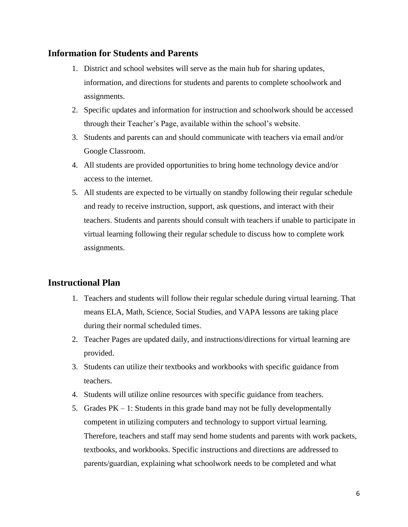## **Information for Students and Parents**

- 1. District and school websites will serve as the main hub for sharing updates, information, and directions for students and parents to complete schoolwork and assignments.
- 2. Specific updates and information for instruction and schoolwork should be accessed through their Teacher's Page, available within the school's website.
- 3. Students and parents can and should communicate with teachers via email and/or Google Classroom.
- 4. All students are provided opportunities to bring home technology device and/or access to the internet.
- 5. All students are expected to be virtually on standby following their regular schedule and ready to receive instruction, support, ask questions, and interact with their teachers. Students and parents should consult with teachers if unable to participate in virtual learning following their regular schedule to discuss how to complete work assignments.

## **Instructional Plan**

- 1. Teachers and students will follow their regular schedule during virtual learning. That means ELA, Math, Science, Social Studies, and VAPA lessons are taking place during their normal scheduled times.
- 2. Teacher Pages are updated daily, and instructions/directions for virtual learning are provided.
- 3. Students can utilize their textbooks and workbooks with specific guidance from teachers.
- 4. Students will utilize online resources with specific guidance from teachers.
- 5. Grades  $PK 1$ : Students in this grade band may not be fully developmentally competent in utilizing computers and technology to support virtual learning. Therefore, teachers and staff may send home students and parents with work packets, textbooks, and workbooks. Specific instructions and directions are addressed to parents/guardian, explaining what schoolwork needs to be completed and what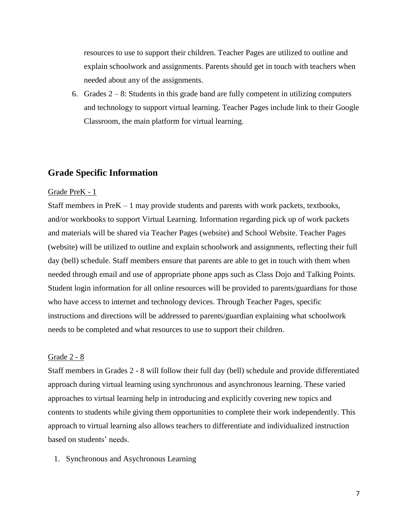resources to use to support their children. Teacher Pages are utilized to outline and explain schoolwork and assignments. Parents should get in touch with teachers when needed about any of the assignments.

6. Grades  $2 - 8$ : Students in this grade band are fully competent in utilizing computers and technology to support virtual learning. Teacher Pages include link to their Google Classroom, the main platform for virtual learning.

## **Grade Specific Information**

#### Grade PreK - 1

Staff members in Pre $K - 1$  may provide students and parents with work packets, textbooks, and/or workbooks to support Virtual Learning. Information regarding pick up of work packets and materials will be shared via Teacher Pages (website) and School Website. Teacher Pages (website) will be utilized to outline and explain schoolwork and assignments, reflecting their full day (bell) schedule. Staff members ensure that parents are able to get in touch with them when needed through email and use of appropriate phone apps such as Class Dojo and Talking Points. Student login information for all online resources will be provided to parents/guardians for those who have access to internet and technology devices. Through Teacher Pages, specific instructions and directions will be addressed to parents/guardian explaining what schoolwork needs to be completed and what resources to use to support their children.

#### Grade 2 - 8

Staff members in Grades 2 - 8 will follow their full day (bell) schedule and provide differentiated approach during virtual learning using synchronous and asynchronous learning. These varied approaches to virtual learning help in introducing and explicitly covering new topics and contents to students while giving them opportunities to complete their work independently. This approach to virtual learning also allows teachers to differentiate and individualized instruction based on students' needs.

1. Synchronous and Asychronous Learning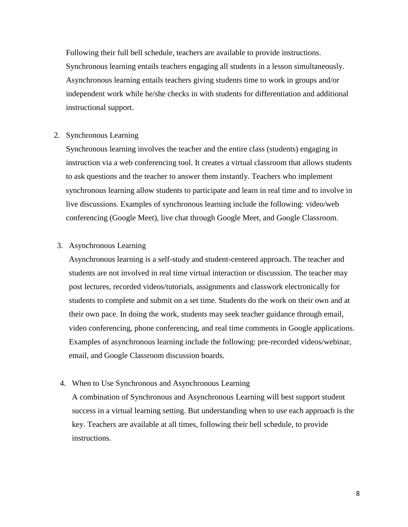Following their full bell schedule, teachers are available to provide instructions. Synchronous learning entails teachers engaging all students in a lesson simultaneously. Asynchronous learning entails teachers giving students time to work in groups and/or independent work while he/she checks in with students for differentiation and additional instructional support.

#### 2. Synchronous Learning

Synchronous learning involves the teacher and the entire class (students) engaging in instruction via a web conferencing tool. It creates a virtual classroom that allows students to ask questions and the teacher to answer them instantly. Teachers who implement synchronous learning allow students to participate and learn in real time and to involve in live discussions. Examples of synchronous learning include the following: video/web conferencing (Google Meet), live chat through Google Meet, and Google Classroom.

### 3. Asynchronous Learning

Asynchronous learning is a self-study and student-centered approach. The teacher and students are not involved in real time virtual interaction or discussion. The teacher may post lectures, recorded videos/tutorials, assignments and classwork electronically for students to complete and submit on a set time. Students do the work on their own and at their own pace. In doing the work, students may seek teacher guidance through email, video conferencing, phone conferencing, and real time comments in Google applications. Examples of asynchronous learning include the following: pre-recorded videos/webinar, email, and Google Classroom discussion boards.

#### 4. When to Use Synchronous and Asynchronous Learning

A combination of Synchronous and Asynchronous Learning will best support student success in a virtual learning setting. But understanding when to use each approach is the key. Teachers are available at all times, following their bell schedule, to provide instructions.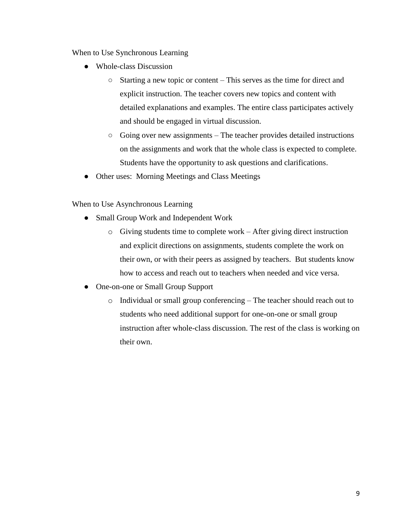When to Use Synchronous Learning

- Whole-class Discussion
	- Starting a new topic or content This serves as the time for direct and explicit instruction. The teacher covers new topics and content with detailed explanations and examples. The entire class participates actively and should be engaged in virtual discussion.
	- Going over new assignments The teacher provides detailed instructions on the assignments and work that the whole class is expected to complete. Students have the opportunity to ask questions and clarifications.
- Other uses: Morning Meetings and Class Meetings

When to Use Asynchronous Learning

- Small Group Work and Independent Work
	- o Giving students time to complete work After giving direct instruction and explicit directions on assignments, students complete the work on their own, or with their peers as assigned by teachers. But students know how to access and reach out to teachers when needed and vice versa.
- One-on-one or Small Group Support
	- o Individual or small group conferencing The teacher should reach out to students who need additional support for one-on-one or small group instruction after whole-class discussion. The rest of the class is working on their own.